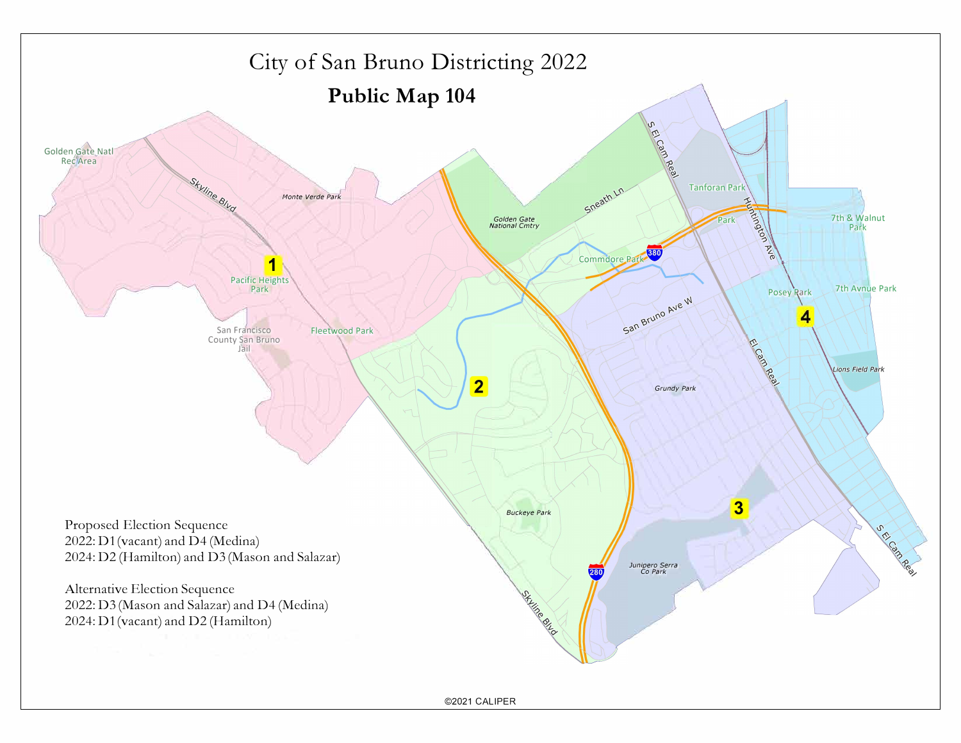